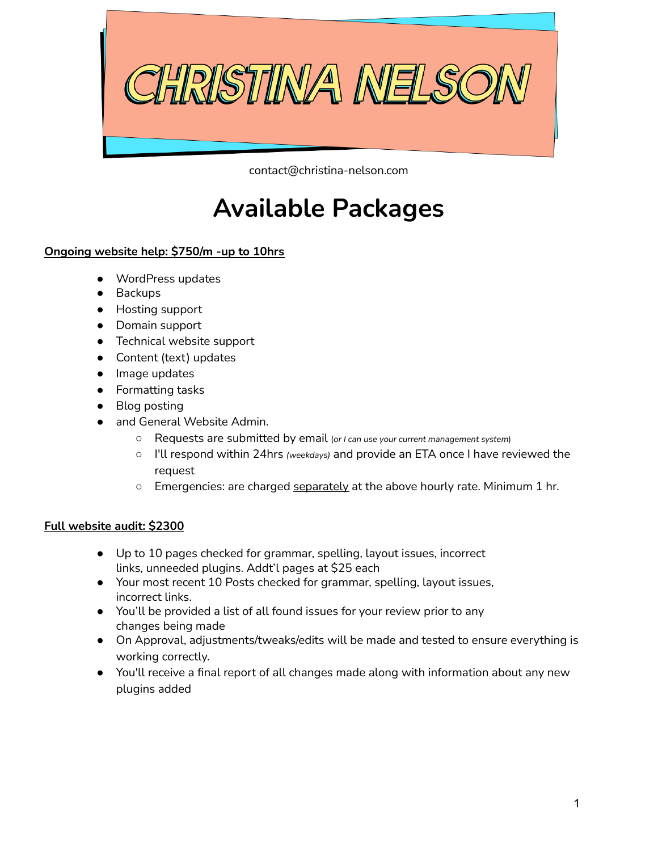

contact@christina-nelson.com

## **Available Packages**

## **Ongoing website help: \$750/m -up to 10hrs**

- WordPress updates
- Backups
- Hosting support
- Domain support
- Technical website support
- Content (text) updates
- Image updates
- Formatting tasks
- Blog posting
- and General Website Admin.
	- Requests are submitted by email (*or <sup>I</sup> can use your current management system*)
	- I'll respond within 24hrs *(weekdays)* and provide an ETA once I have reviewed the request
	- o Emergencies: are charged separately at the above hourly rate. Minimum 1 hr.

## **Full website audit: \$2300**

- Up to 10 pages checked for grammar, spelling, layout issues, incorrect links, unneeded plugins. Addt'l pages at \$25 each
- Your most recent 10 Posts checked for grammar, spelling, layout issues, incorrect links.
- You'll be provided a list of all found issues for your review prior to any changes being made
- On Approval, adjustments/tweaks/edits will be made and tested to ensure everything is working correctly.
- You'll receive a final report of all changes made along with information about any new plugins added